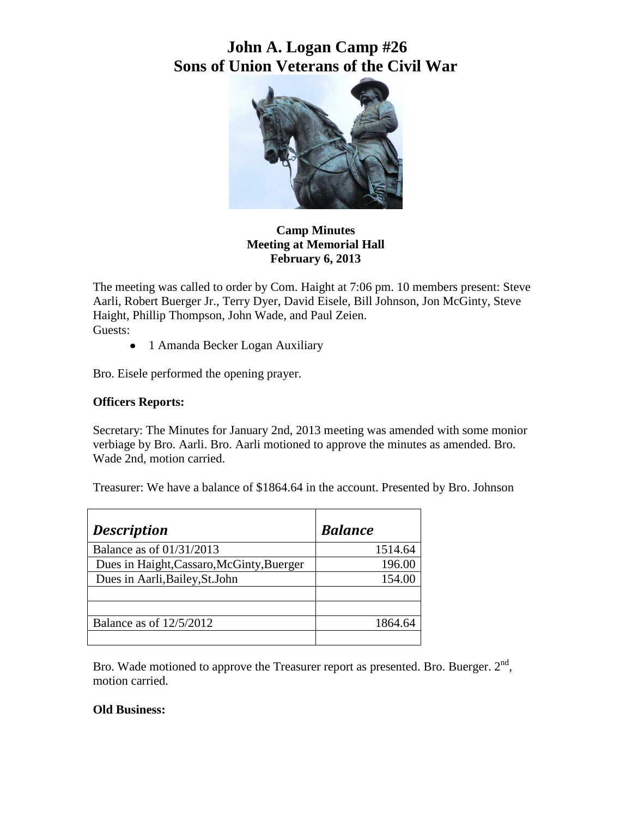# **John A. Logan Camp #26 Sons of Union Veterans of the Civil War**



### **Camp Minutes Meeting at Memorial Hall February 6, 2013**

The meeting was called to order by Com. Haight at 7:06 pm. 10 members present: Steve Aarli, Robert Buerger Jr., Terry Dyer, David Eisele, Bill Johnson, Jon McGinty, Steve Haight, Phillip Thompson, John Wade, and Paul Zeien. Guests:

• 1 Amanda Becker Logan Auxiliary

Bro. Eisele performed the opening prayer.

#### **Officers Reports:**

Secretary: The Minutes for January 2nd, 2013 meeting was amended with some monior verbiage by Bro. Aarli. Bro. Aarli motioned to approve the minutes as amended. Bro. Wade 2nd, motion carried.

Treasurer: We have a balance of \$1864.64 in the account. Presented by Bro. Johnson

| <b>Description</b>                        | <b>Balance</b> |
|-------------------------------------------|----------------|
| Balance as of 01/31/2013                  | 1514.64        |
| Dues in Haight, Cassaro, McGinty, Buerger | 196.00         |
| Dues in Aarli, Bailey, St. John           | 154.00         |
|                                           |                |
|                                           |                |
| Balance as of $12/5/2012$                 | 1864.64        |
|                                           |                |

Bro. Wade motioned to approve the Treasurer report as presented. Bro. Buerger.  $2<sup>nd</sup>$ , motion carried.

#### **Old Business:**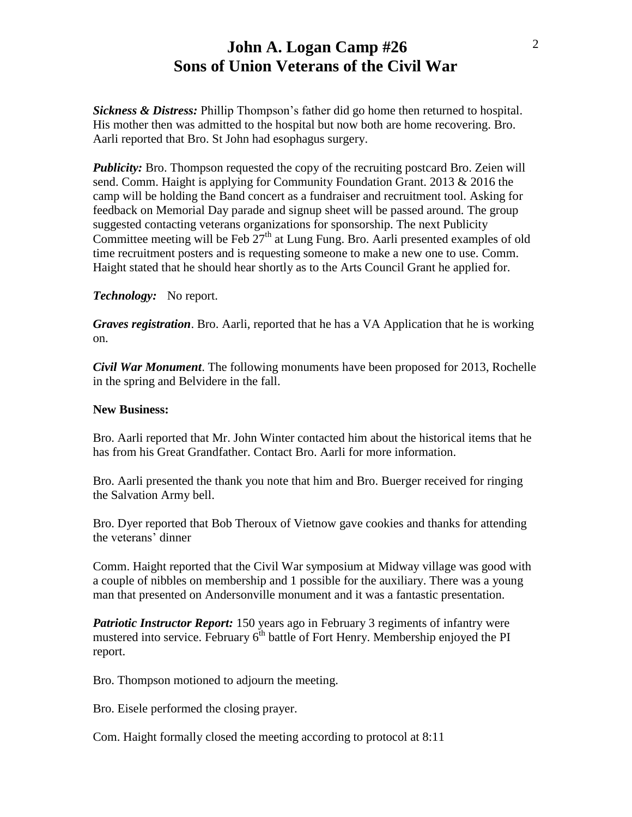### **John A. Logan Camp #26 Sons of Union Veterans of the Civil War**

*Sickness & Distress:* Phillip Thompson's father did go home then returned to hospital. His mother then was admitted to the hospital but now both are home recovering. Bro. Aarli reported that Bro. St John had esophagus surgery.

*Publicity:* Bro. Thompson requested the copy of the recruiting postcard Bro. Zeien will send. Comm. Haight is applying for Community Foundation Grant. 2013 & 2016 the camp will be holding the Band concert as a fundraiser and recruitment tool. Asking for feedback on Memorial Day parade and signup sheet will be passed around. The group suggested contacting veterans organizations for sponsorship. The next Publicity Committee meeting will be Feb  $27<sup>th</sup>$  at Lung Fung. Bro. Aarli presented examples of old time recruitment posters and is requesting someone to make a new one to use. Comm. Haight stated that he should hear shortly as to the Arts Council Grant he applied for.

*Technology:* No report.

*Graves registration*. Bro. Aarli, reported that he has a VA Application that he is working on.

*Civil War Monument*. The following monuments have been proposed for 2013, Rochelle in the spring and Belvidere in the fall.

#### **New Business:**

Bro. Aarli reported that Mr. John Winter contacted him about the historical items that he has from his Great Grandfather. Contact Bro. Aarli for more information.

Bro. Aarli presented the thank you note that him and Bro. Buerger received for ringing the Salvation Army bell.

Bro. Dyer reported that Bob Theroux of Vietnow gave cookies and thanks for attending the veterans' dinner

Comm. Haight reported that the Civil War symposium at Midway village was good with a couple of nibbles on membership and 1 possible for the auxiliary. There was a young man that presented on Andersonville monument and it was a fantastic presentation.

*Patriotic Instructor Report:* 150 years ago in February 3 regiments of infantry were mustered into service. February  $6<sup>th</sup>$  battle of Fort Henry. Membership enjoyed the PI report.

Bro. Thompson motioned to adjourn the meeting.

Bro. Eisele performed the closing prayer.

Com. Haight formally closed the meeting according to protocol at 8:11